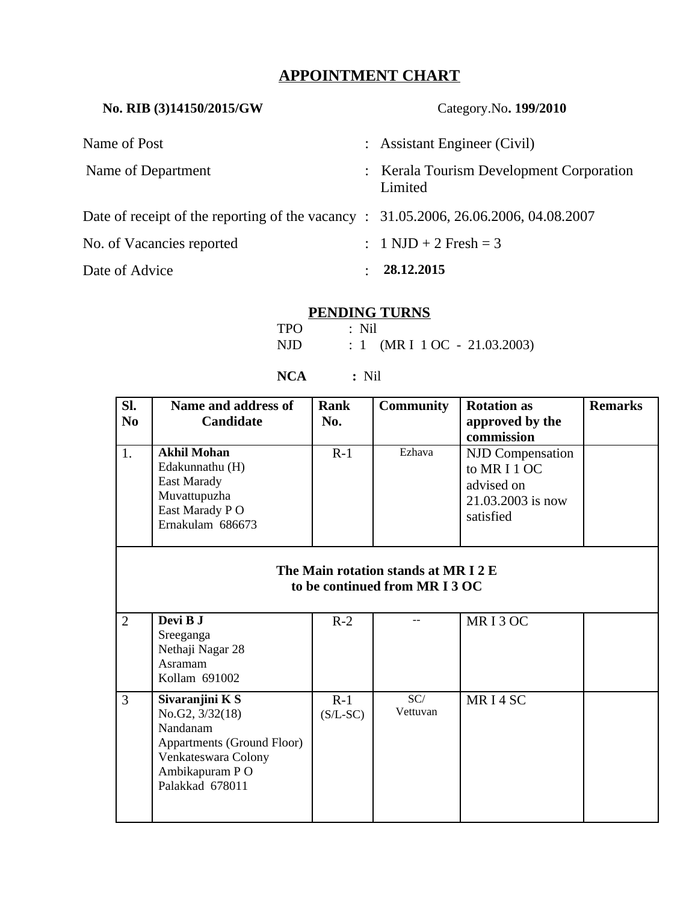# **APPOINTMENT CHART**

| No. RIB (3)14150/2015/GW                                                             |  | Category.No. 199/2010                               |  |  |
|--------------------------------------------------------------------------------------|--|-----------------------------------------------------|--|--|
| Name of Post                                                                         |  | : Assistant Engineer (Civil)                        |  |  |
| Name of Department                                                                   |  | : Kerala Tourism Development Corporation<br>Limited |  |  |
| Date of receipt of the reporting of the vacancy : 31.05.2006, 26.06.2006, 04.08.2007 |  |                                                     |  |  |
| No. of Vacancies reported                                                            |  | : $1 \text{ NJD} + 2 \text{ Fresh} = 3$             |  |  |
| Date of Advice                                                                       |  | 28.12.2015                                          |  |  |

## **PENDING TURNS**

| <b>TPO</b> | $\therefore$ Nil               |
|------------|--------------------------------|
| NJD        | : 1 (MR I $1$ OC - 21.03.2003) |

### **NCA :** Nil

| SI.<br>N <sub>0</sub><br>1.                                      | Name and address of<br><b>Candidate</b><br><b>Akhil Mohan</b><br>Edakunnathu (H)<br><b>East Marady</b><br>Muvattupuzha<br>East Marady PO<br>Ernakulam 686673 | <b>Rank</b><br>No.<br>$R-1$ | <b>Community</b><br>Ezhava | <b>Rotation as</b><br>approved by the<br>commission<br><b>NJD Compensation</b><br>to MR I 1 OC<br>advised on<br>21.03.2003 is now<br>satisfied | <b>Remarks</b> |  |
|------------------------------------------------------------------|--------------------------------------------------------------------------------------------------------------------------------------------------------------|-----------------------------|----------------------------|------------------------------------------------------------------------------------------------------------------------------------------------|----------------|--|
| The Main rotation stands at MRI2E<br>to be continued from MRI3OC |                                                                                                                                                              |                             |                            |                                                                                                                                                |                |  |
| $\overline{2}$                                                   | Devi B J<br>Sreeganga<br>Nethaji Nagar 28<br>Asramam<br>Kollam 691002                                                                                        | $R-2$                       |                            | MRI3OC                                                                                                                                         |                |  |
| 3                                                                | Sivaranjini K S<br>No.G2, 3/32(18)<br>Nandanam<br><b>Appartments (Ground Floor)</b><br>Venkateswara Colony<br>Ambikapuram P O<br>Palakkad 678011             | $R-1$<br>$(S/L-SC)$         | SC/<br>Vettuvan            | MRI4SC                                                                                                                                         |                |  |